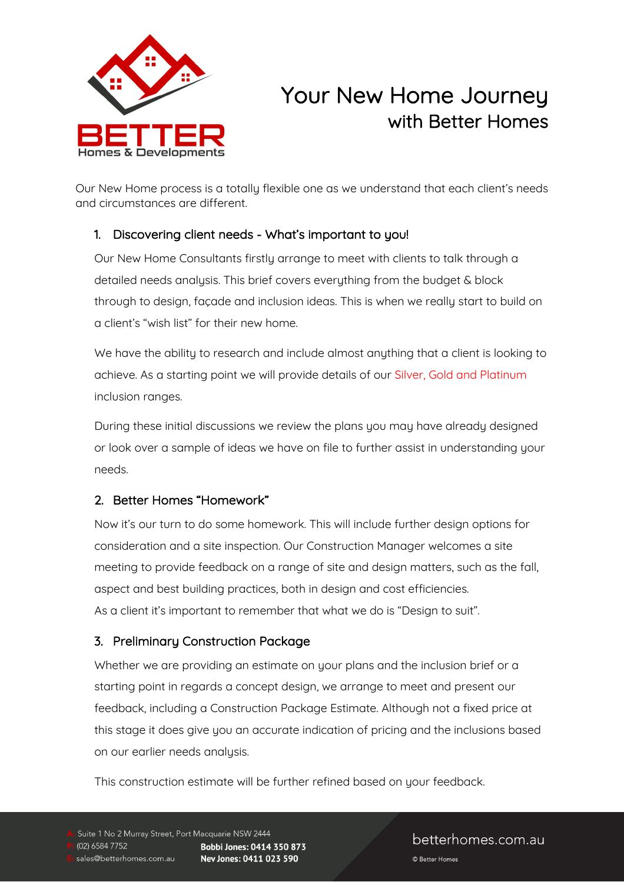

# Your New Home Journey with Better Homes

Our New Home process is a totally flexible one as we understand that each client's needs and circumstances are different.

## 1. Discovering client needs - What's important to you!

Our New Home Consultants firstly arrange to meet with clients to talk through a detailed needs analysis. This brief covers everything from the budget & block through to design, façade and inclusion ideas. This is when we really start to build on a client's "wish list" for their new home.

We have the ability to research and include almost anything that a client is looking to achieve. As a starting point we will provide details of our Silver, Gold and Platinum inclusion ranges.

During these initial discussions we review the plans you may have already designed or look over a sample of ideas we have on file to further assist in understanding your needs.

# 2. Better Homes "Homework"

Now it's our turn to do some homework. This will include further design options for consideration and a site inspection. Our Construction Manager welcomes a site meeting to provide feedback on a range of site and design matters, such as the fall, aspect and best building practices, both in design and cost efficiencies. As a client it's important to remember that what we do is "Design to suit".

# 3. Preliminary Construction Package

Whether we are providing an estimate on your plans and the inclusion brief or a starting point in regards a concept design, we arrange to meet and present our feedback, including a Construction Package Estimate. Although not a fixed price at this stage it does give you an accurate indication of pricing and the inclusions based on our earlier needs analysis.

This construction estimate will be further refined based on your feedback.

# betterhomes.com.au

© Better Homes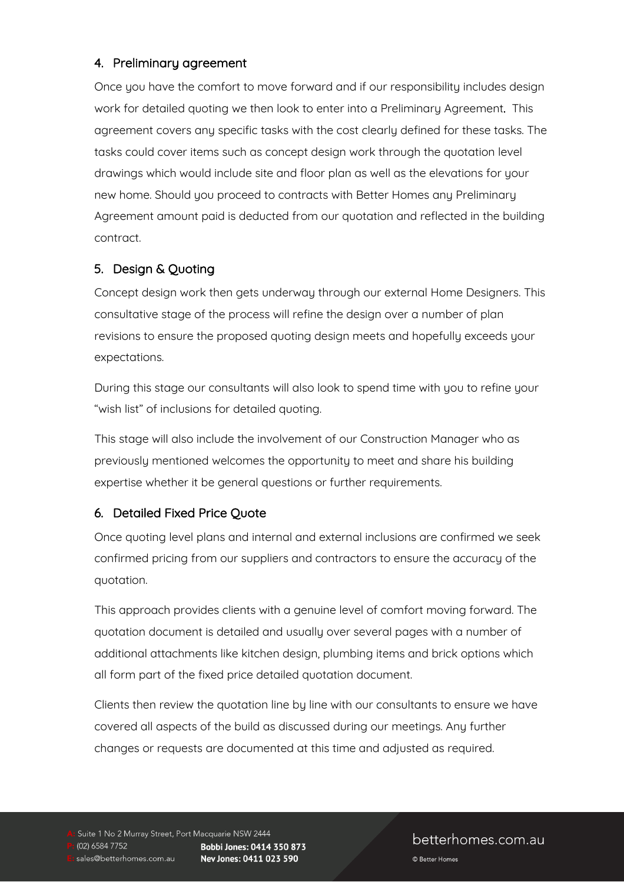#### 4. Preliminary agreement

Once you have the comfort to move forward and if our responsibility includes design work for detailed quoting we then look to enter into a Preliminary Agreement. This agreement covers any specific tasks with the cost clearly defined for these tasks. The tasks could cover items such as concept design work through the quotation level drawings which would include site and floor plan as well as the elevations for your new home. Should you proceed to contracts with Better Homes any Preliminary Agreement amount paid is deducted from our quotation and reflected in the building contract.

## 5. Design & Quoting

Concept design work then gets underway through our external Home Designers. This consultative stage of the process will refine the design over a number of plan revisions to ensure the proposed quoting design meets and hopefully exceeds your expectations.

During this stage our consultants will also look to spend time with you to refine your "wish list" of inclusions for detailed quoting.

This stage will also include the involvement of our Construction Manager who as previously mentioned welcomes the opportunity to meet and share his building expertise whether it be general questions or further requirements.

## 6. Detailed Fixed Price Quote

Once quoting level plans and internal and external inclusions are confirmed we seek confirmed pricing from our suppliers and contractors to ensure the accuracy of the quotation.

This approach provides clients with a genuine level of comfort moving forward. The quotation document is detailed and usually over several pages with a number of additional attachments like kitchen design, plumbing items and brick options which all form part of the fixed price detailed quotation document.

Clients then review the quotation line by line with our consultants to ensure we have covered all aspects of the build as discussed during our meetings. Any further changes or requests are documented at this time and adjusted as required.

Suite 1 No 2 Murray Street, Port Macquarie NSW 2444 (02) 6584 7752 Bobbi Jones: 0414 350 873 sales@betterhomes.com.au Nev Jones: 0411 023 590

betterhomes.com.au

© Better Homes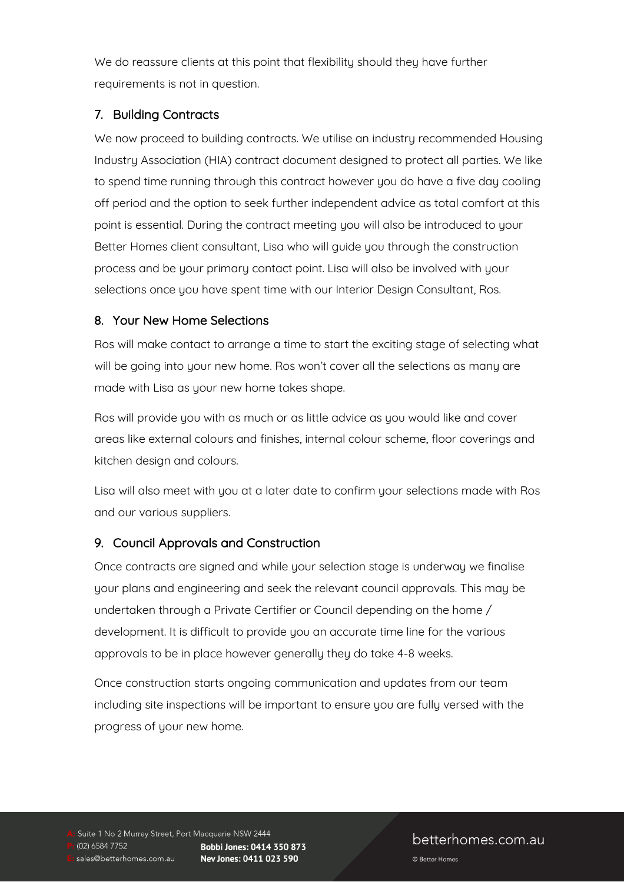We do reassure clients at this point that flexibility should they have further requirements is not in question.

## 7. Building Contracts

We now proceed to building contracts. We utilise an industry recommended Housing Industry Association (HIA) contract document designed to protect all parties. We like to spend time running through this contract however you do have a five day cooling off period and the option to seek further independent advice as total comfort at this point is essential. During the contract meeting you will also be introduced to your Better Homes client consultant, Lisa who will guide you through the construction process and be your primary contact point. Lisa will also be involved with your selections once you have spent time with our Interior Design Consultant, Ros.

#### 8. Your New Home Selections

Ros will make contact to arrange a time to start the exciting stage of selecting what will be going into your new home. Ros won't cover all the selections as many are made with Lisa as your new home takes shape.

Ros will provide you with as much or as little advice as you would like and cover areas like external colours and finishes, internal colour scheme, floor coverings and kitchen design and colours.

Lisa will also meet with you at a later date to confirm your selections made with Ros and our various suppliers.

## 9. Council Approvals and Construction

Once contracts are signed and while your selection stage is underway we finalise your plans and engineering and seek the relevant council approvals. This may be undertaken through a Private Certifier or Council depending on the home / development. It is difficult to provide you an accurate time line for the various approvals to be in place however generally they do take 4-8 weeks.

Once construction starts ongoing communication and updates from our team including site inspections will be important to ensure you are fully versed with the progress of your new home.